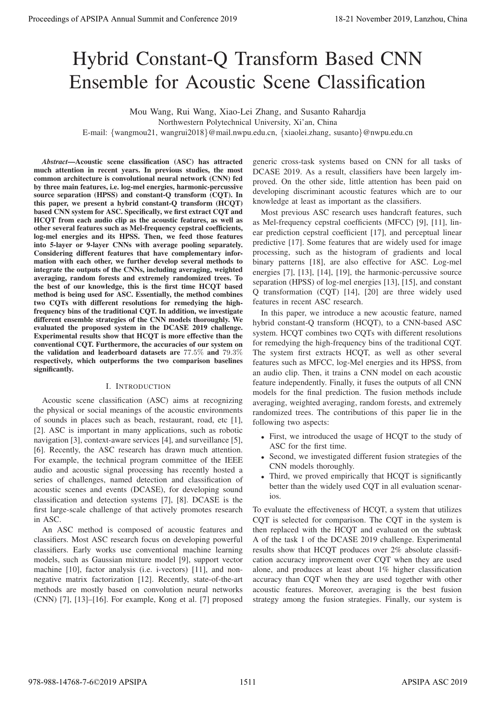# Hybrid Constant-Q Transform Based CNN Ensemble for Acoustic Scene Classification

Mou Wang, Rui Wang, Xiao-Lei Zhang, and Susanto Rahardja

Northwestern Polytechnical University, Xi'an, China

E-mail: {wangmou21, wangrui2018}@mail.nwpu.edu.cn, {xiaolei.zhang, susanto}@nwpu.edu.cn

*Abstract*—Acoustic scene classification (ASC) has attracted much attention in recent years. In previous studies, the most common architecture is convolutional neural network (CNN) fed by three main features, i.e. log-mel energies, harmonic-percussive source separation (HPSS) and constant-Q transform (CQT). In this paper, we present a hybrid constant-Q transform (HCQT) based CNN system for ASC. Specifically, we first extract CQT and HCQT from each audio clip as the acoustic features, as well as other several features such as Mel-frequency cepstral coefficients, log-mel energies and its HPSS. Then, we feed those features into 5-layer or 9-layer CNNs with average pooling separately. Considering different features that have complementary information with each other, we further develop several methods to integrate the outputs of the CNNs, including averaging, weighted averaging, random forests and extremely randomized trees. To the best of our knowledge, this is the first time HCQT based method is being used for ASC. Essentially, the method combines two CQTs with different resolutions for remedying the highfrequency bins of the traditional CQT. In addition, we investigate different ensemble strategies of the CNN models thoroughly. We evaluated the proposed system in the DCASE 2019 challenge. Experimental results show that HCQT is more effective than the conventional CQT. Furthermore, the accuracies of our system on the validation and leaderboard datasets are 77.5% and 79.3% respectively, which outperforms the two comparison baselines significantly. **Proceedings of APSIPA Annual Summit at Co-Core 2019**<br> **Process of APSIPA Annual Summit and Conserver 2019**<br> **Process of APSIPA Annual Summit and Conserver 2019**<br> **Example 6 Conserver 2019**<br> **Example 8 Conserver 2019** 

# I. INTRODUCTION

Acoustic scene classification (ASC) aims at recognizing the physical or social meanings of the acoustic environments of sounds in places such as beach, restaurant, road, etc [1], [2]. ASC is important in many applications, such as robotic navigation [3], context-aware services [4], and surveillance [5], [6]. Recently, the ASC research has drawn much attention. For example, the technical program committee of the IEEE audio and acoustic signal processing has recently hosted a series of challenges, named detection and classification of acoustic scenes and events (DCASE), for developing sound classification and detection systems [7], [8]. DCASE is the first large-scale challenge of that actively promotes research in ASC.

An ASC method is composed of acoustic features and classifiers. Most ASC research focus on developing powerful classifiers. Early works use conventional machine learning models, such as Gaussian mixture model [9], support vector machine [10], factor analysis (i.e. i-vectors) [11], and nonnegative matrix factorization [12]. Recently, state-of-the-art methods are mostly based on convolution neural networks (CNN) [7], [13]–[16]. For example, Kong et al. [7] proposed

generic cross-task systems based on CNN for all tasks of DCASE 2019. As a result, classifiers have been largely improved. On the other side, little attention has been paid on developing discriminant acoustic features which are to our knowledge at least as important as the classifiers.

Most previous ASC research uses handcraft features, such as Mel-frequency cepstral coefficients (MFCC) [9], [11], linear prediction cepstral coefficient [17], and perceptual linear predictive [17]. Some features that are widely used for image processing, such as the histogram of gradients and local binary patterns [18], are also effective for ASC. Log-mel energies [7], [13], [14], [19], the harmonic-percussive source separation (HPSS) of log-mel energies [13], [15], and constant Q transformation (CQT) [14], [20] are three widely used features in recent ASC research.

In this paper, we introduce a new acoustic feature, named hybrid constant-Q transform (HCQT), to a CNN-based ASC system. HCQT combines two CQTs with different resolutions for remedying the high-frequency bins of the traditional CQT. The system first extracts HCQT, as well as other several features such as MFCC, log-Mel energies and its HPSS, from an audio clip. Then, it trains a CNN model on each acoustic feature independently. Finally, it fuses the outputs of all CNN models for the final prediction. The fusion methods include averaging, weighted averaging, random forests, and extremely randomized trees. The contributions of this paper lie in the following two aspects:

- First, we introduced the usage of HCQT to the study of ASC for the first time.
- Second, we investigated different fusion strategies of the CNN models thoroughly.
- Third, we proved empirically that HCQT is significantly better than the widely used CQT in all evaluation scenarios.

To evaluate the effectiveness of HCQT, a system that utilizes CQT is selected for comparison. The CQT in the system is then replaced with the HCQT and evaluated on the subtask A of the task 1 of the DCASE 2019 challenge. Experimental results show that HCQT produces over 2% absolute classification accuracy improvement over CQT when they are used alone, and produces at least about 1% higher classification accuracy than CQT when they are used together with other acoustic features. Moreover, averaging is the best fusion strategy among the fusion strategies. Finally, our system is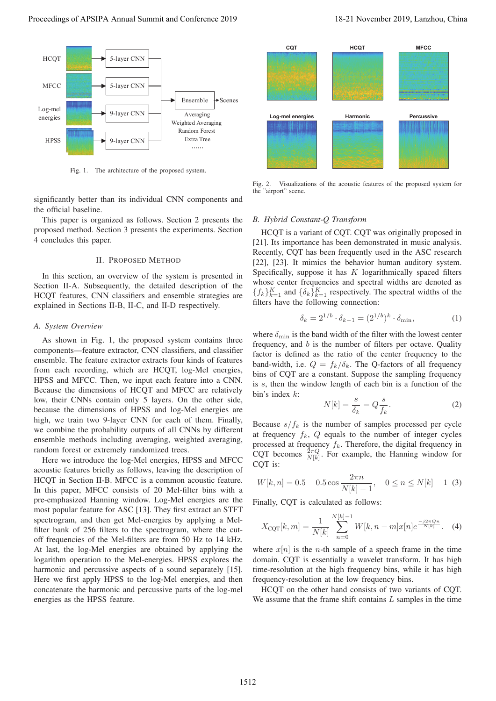

Fig. 1. The architecture of the proposed system.

significantly better than its individual CNN components and the official baseline.

This paper is organized as follows. Section 2 presents the proposed method. Section 3 presents the experiments. Section 4 concludes this paper.

# II. PROPOSED METHOD

In this section, an overview of the system is presented in Section II-A. Subsequently, the detailed description of the HCQT features, CNN classifiers and ensemble strategies are explained in Sections II-B, II-C, and II-D respectively.

## *A. System Overview*

As shown in Fig. 1, the proposed system contains three components—feature extractor, CNN classifiers, and classifier ensemble. The feature extractor extracts four kinds of features from each recording, which are HCQT, log-Mel energies, HPSS and MFCC. Then, we input each feature into a CNN. Because the dimensions of HCQT and MFCC are relatively low, their CNNs contain only 5 layers. On the other side, because the dimensions of HPSS and log-Mel energies are high, we train two 9-layer CNN for each of them. Finally, we combine the probability outputs of all CNNs by different ensemble methods including averaging, weighted averaging, random forest or extremely randomized trees.

Here we introduce the log-Mel energies, HPSS and MFCC acoustic features briefly as follows, leaving the description of HCQT in Section II-B. MFCC is a common acoustic feature. In this paper, MFCC consists of 20 Mel-filter bins with a pre-emphasized Hanning window. Log-Mel energies are the most popular feature for ASC [13]. They first extract an STFT spectrogram, and then get Mel-energies by applying a Melfilter bank of 256 filters to the spectrogram, where the cutoff frequencies of the Mel-filters are from 50 Hz to 14 kHz. At last, the log-Mel energies are obtained by applying the logarithm operation to the Mel-energies. HPSS explores the harmonic and percussive aspects of a sound separately [15]. Here we first apply HPSS to the log-Mel energies, and then concatenate the harmonic and percussive parts of the log-mel energies as the HPSS feature. Proceeding of APSIPA Annual Summit at Co-Co-co-2019 18-21<br>
1970. The same star and conference 2019 18-21 November 2019 18-21 November 2019, Lanzhou, China 1512 November 2019, Lanzhou, China 1512 November 2019, Lanzhou, Ch



Fig. 2. Visualizations of the acoustic features of the proposed system for the "airport" scene.

# *B. Hybrid Constant-Q Transform*

HCQT is a variant of CQT. CQT was originally proposed in [21]. Its importance has been demonstrated in music analysis. Recently, CQT has been frequently used in the ASC research [22], [23]. It mimics the behavior human auditory system. Specifically, suppose it has  $K$  logarithmically spaced filters whose center frequencies and spectral widths are denoted as  $\{f_k\}_{k=1}^K$  and  $\{\delta_k\}_{k=1}^K$  respectively. The spectral widths of the filters have the following connection:

$$
\delta_k = 2^{1/b} \cdot \delta_{k-1} = (2^{1/b})^k \cdot \delta_{\min},
$$
 (1)

where  $\delta_{\text{min}}$  is the band width of the filter with the lowest center frequency, and  $b$  is the number of filters per octave. Quality factor is defined as the ratio of the center frequency to the band-width, i.e.  $Q = f_k/\delta_k$ . The Q-factors of all frequency bins of CQT are a constant. Suppose the sampling frequency is s, then the window length of each bin is a function of the bin's index  $k$ :

$$
N[k] = \frac{s}{\delta_k} = Q \frac{s}{f_k}.
$$
 (2)

Because  $s/f_k$  is the number of samples processed per cycle at frequency  $f_k$ ,  $Q$  equals to the number of integer cycles processed at frequency  $f_k$ . Therefore, the digital frequency in CQT becomes  $\frac{2\pi Q}{N[k]}$ . For example, the Hanning window for COT is:

$$
W[k,n] = 0.5 - 0.5 \cos \frac{2\pi n}{N[k]-1}, \quad 0 \le n \le N[k]-1 \tag{3}
$$

Finally, CQT is calculated as follows:

$$
X_{\text{CQT}}[k,m] = \frac{1}{N[k]} \sum_{n=0}^{N[k]-1} W[k,n-m]x[n]e^{\frac{-j2\pi Qn}{N[k]}}.
$$
 (4)

where  $x[n]$  is the *n*-th sample of a speech frame in the time domain. CQT is essentially a wavelet transform. It has high time-resolution at the high frequency bins, while it has high frequency-resolution at the low frequency bins.

HCQT on the other hand consists of two variants of CQT. We assume that the frame shift contains  $L$  samples in the time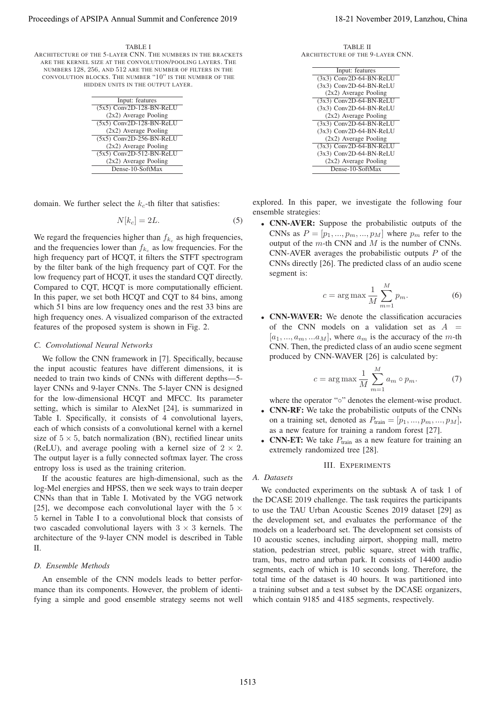#### TABLE I

ARCHITECTURE OF THE 5-LAYER CNN. THE NUMBERS IN THE BRACKETS ARE THE KERNEL SIZE AT THE CONVOLUTION/POOLING LAYERS. THE NUMBERS 128, 256, AND 512 ARE THE NUMBER OF FILTERS IN THE CONVOLUTION BLOCKS. THE NUMBER "10" IS THE NUMBER OF THE HIDDEN UNITS IN THE OUTPUT LAYER.

| Input: features            |  |  |
|----------------------------|--|--|
| $(5x5)$ Conv2D-128-BN-ReLU |  |  |
| $(2x2)$ Average Pooling    |  |  |
| $(5x5)$ Conv2D-128-BN-ReLU |  |  |
| $(2x2)$ Average Pooling    |  |  |
| (5x5) Conv2D-256-BN-ReLU   |  |  |
| $(2x2)$ Average Pooling    |  |  |
| (5x5) Conv2D-512-BN-ReLU   |  |  |
| $(2x2)$ Average Pooling    |  |  |
| Dense-10-SoftMax           |  |  |

domain. We further select the  $k_c$ -th filter that satisfies:

$$
N[k_c] = 2L.\t\t(5)
$$

We regard the frequencies higher than  $f_{k_c}$  as high frequencies, and the frequencies lower than  $f_{k_c}$  as low frequencies. For the high frequency part of HCQT, it filters the STFT spectrogram by the filter bank of the high frequency part of CQT. For the low frequency part of HCQT, it uses the standard CQT directly. Compared to CQT, HCQT is more computationally efficient. In this paper, we set both HCQT and CQT to 84 bins, among which 51 bins are low frequency ones and the rest 33 bins are high frequency ones. A visualized comparison of the extracted features of the proposed system is shown in Fig. 2.

#### *C. Convolutional Neural Networks*

We follow the CNN framework in [7]. Specifically, because the input acoustic features have different dimensions, it is needed to train two kinds of CNNs with different depths—5 layer CNNs and 9-layer CNNs. The 5-layer CNN is designed for the low-dimensional HCQT and MFCC. Its parameter setting, which is similar to AlexNet [24], is summarized in Table I. Specifically, it consists of 4 convolutional layers, each of which consists of a convolutional kernel with a kernel size of  $5 \times 5$ , batch normalization (BN), rectified linear units (ReLU), and average pooling with a kernel size of  $2 \times 2$ . The output layer is a fully connected softmax layer. The cross entropy loss is used as the training criterion. Proceeding of APSIPA Annual Summit at Co-F is exactly and<br>
Annual Summit and Co-F is exactly and the summit and Co-F is exactly and the summit and Co-F is exactly and the summit and Conference 2019, Lanzhou, China 2019, L

If the acoustic features are high-dimensional, such as the log-Mel energies and HPSS, then we seek ways to train deeper CNNs than that in Table I. Motivated by the VGG network [25], we decompose each convolutional layer with the  $5 \times$ 5 kernel in Table I to a convolutional block that consists of two cascaded convolutional layers with  $3 \times 3$  kernels. The architecture of the 9-layer CNN model is described in Table  $II$ 

#### *D. Ensemble Methods*

An ensemble of the CNN models leads to better performance than its components. However, the problem of identifying a simple and good ensemble strategy seems not well

TABLE II ARCHITECTURE OF THE 9-LAYER CNN.

| Input: features           |
|---------------------------|
| (3x3) Conv2D-64-BN-ReLU   |
| $(3x3)$ Conv2D-64-BN-ReLU |
| $(2x2)$ Average Pooling   |
| $(3x3)$ Conv2D-64-BN-ReLU |
| $(3x3)$ Conv2D-64-BN-ReLU |
| $(2x2)$ Average Pooling   |
| $(3x3)$ Conv2D-64-BN-ReLU |
| $(3x3)$ Conv2D-64-BN-ReLU |
| $(2x2)$ Average Pooling   |
| $(3x3)$ Conv2D-64-BN-ReLU |
| $(3x3)$ Conv2D-64-BN-ReLU |
| $(2x2)$ Average Pooling   |
| Dense-10-SoftMax          |

explored. In this paper, we investigate the following four ensemble strategies:

• CNN-AVER: Suppose the probabilistic outputs of the CNNs as  $P = [p_1, ..., p_m, ..., p_M]$  where  $p_m$  refer to the output of the  $m$ -th CNN and  $M$  is the number of CNNs. CNN-AVER averages the probabilistic outputs  $P$  of the CNNs directly [26]. The predicted class of an audio scene segment is:

$$
c = \arg \max \frac{1}{M} \sum_{m=1}^{M} p_m.
$$
 (6)

• CNN-WAVER: We denote the classification accuracies of the CNN models on a validation set as  $A =$  $[a_1, ..., a_m, ... a_M]$ , where  $a_m$  is the accuracy of the m-th CNN. Then, the predicted class of an audio scene segment produced by CNN-WAVER [26] is calculated by:

$$
c = \arg \max \frac{1}{M} \sum_{m=1}^{M} a_m \circ p_m.
$$
 (7)

where the operator "∘" denotes the element-wise product.

- CNN-RF: We take the probabilistic outputs of the CNNs on a training set, denoted as  $P_{\text{train}} = [p_1, ..., p_m, ..., p_M],$ as a new feature for training a random forest [27].
- CNN-ET: We take  $P_{\text{train}}$  as a new feature for training an extremely randomized tree [28].

### III. EXPERIMENTS

### *A. Datasets*

We conducted experiments on the subtask A of task 1 of the DCASE 2019 challenge. The task requires the participants to use the TAU Urban Acoustic Scenes 2019 dataset [29] as the development set, and evaluates the performance of the models on a leaderboard set. The development set consists of 10 acoustic scenes, including airport, shopping mall, metro station, pedestrian street, public square, street with traffic, tram, bus, metro and urban park. It consists of 14400 audio segments, each of which is 10 seconds long. Therefore, the total time of the dataset is 40 hours. It was partitioned into a training subset and a test subset by the DCASE organizers, which contain 9185 and 4185 segments, respectively.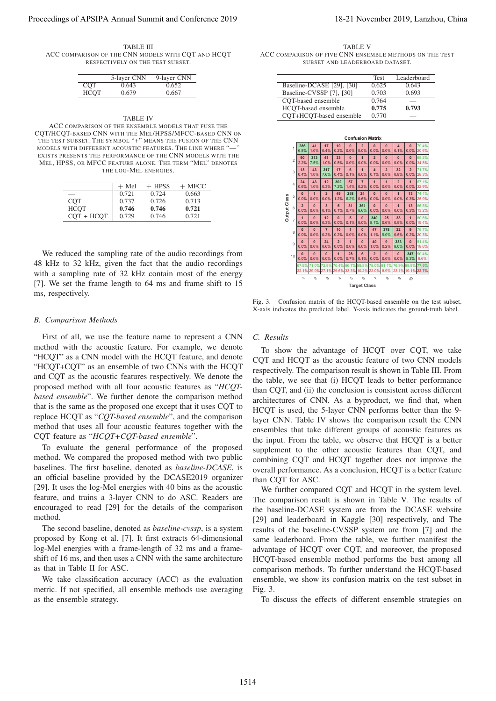TABLE III ACC COMPARISON OF THE CNN MODELS WITH COT AND HCOT RESPECTIVELY ON THE TEST SUBSET.

|             | 5-layer CNN | 9-layer CNN |
|-------------|-------------|-------------|
| COT         | 0.643       | 0.652       |
| <b>HCOT</b> | 0.679       | 0.667       |

#### TABLE IV

ACC COMPARISON OF THE ENSEMBLE MODELS THAT FUSE THE CQT/HCQT-BASED CNN WITH THE MEL/HPSS/MFCC-BASED CNN ON THE TEST SUBSET. THE SYMBOL "+" MEANS THE FUSION OF THE CNN MODELS WITH DIFFERENT ACOUSTIC FEATURES. THE LINE WHERE "-EXISTS PRESENTS THE PERFORMANCE OF THE CNN MODELS WITH THE MEL, HPSS, OR MFCC FEATURE ALONE. THE TERM "MEL" DENOTES THE LOG-MEL ENERGIES.

|              | $+$ Mel | $+$ HPSS | $+$ MFCC |
|--------------|---------|----------|----------|
|              | 0.721   | 0.724    | 0.663    |
| <b>COT</b>   | 0.737   | 0.726    | 0.713    |
| <b>HCOT</b>  | 0.746   | 0.746    | 0.721    |
| $COT + HCOT$ | 0.729   | 0.746    | 0.721    |

We reduced the sampling rate of the audio recordings from 48 kHz to 32 kHz, given the fact that the audio recordings with a sampling rate of 32 kHz contain most of the energy [7]. We set the frame length to 64 ms and frame shift to 15 ms, respectively.

#### *B. Comparison Methods*

First of all, we use the feature name to represent a CNN method with the acoustic feature. For example, we denote "HCQT" as a CNN model with the HCQT feature, and denote "HCQT+CQT" as an ensemble of two CNNs with the HCQT and CQT as the acoustic features respectively. We denote the proposed method with all four acoustic features as "*HCQTbased ensemble*". We further denote the comparison method that is the same as the proposed one except that it uses CQT to replace HCQT as "*CQT-based ensemble*", and the comparison method that uses all four acoustic features together with the CQT feature as "*HCQT+CQT-based ensemble*".

To evaluate the general performance of the proposed method. We compared the proposed method with two public baselines. The first baseline, denoted as *baseline-DCASE*, is an official baseline provided by the DCASE2019 organizer [29]. It uses the log-Mel energies with 40 bins as the acoustic feature, and trains a 3-layer CNN to do ASC. Readers are encouraged to read [29] for the details of the comparison method.

The second baseline, denoted as *baseline-cvssp*, is a system proposed by Kong et al. [7]. It first extracts 64-dimensional log-Mel energies with a frame-length of 32 ms and a frameshift of 16 ms, and then uses a CNN with the same architecture as that in Table II for ASC.

We take classification accuracy (ACC) as the evaluation metric. If not specified, all ensemble methods use averaging as the ensemble strategy.

TABLE V ACC COMPARISON OF FIVE CNN ENSEMBLE METHODS ON THE TEST SUBSET AND LEADERBOARD DATASET.

|                           | <b>Test</b> | Leaderboard |
|---------------------------|-------------|-------------|
| Baseline-DCASE [29], [30] | 0.625       | 0.643       |
| Baseline-CVSSP [7], [30]  | 0.703       | 0.693       |
| COT-based ensemble        | 0.764       |             |
| HCOT-based ensemble       | 0.775       | 0.793       |
| CQT+HCQT-based ensemble   | 0.770       |             |



Fig. 3. Confusion matrix of the HCQT-based ensemble on the test subset. X-axis indicates the predicted label. Y-axis indicates the ground-truth label.

#### *C. Results*

To show the advantage of HCQT over CQT, we take CQT and HCQT as the acoustic feature of two CNN models respectively. The comparison result is shown in Table III. From the table, we see that (i) HCQT leads to better performance than CQT, and (ii) the conclusion is consistent across different architectures of CNN. As a byproduct, we find that, when HCQT is used, the 5-layer CNN performs better than the 9 layer CNN. Table IV shows the comparison result the CNN ensembles that take different groups of acoustic features as the input. From the table, we observe that HCQT is a better supplement to the other acoustic features than CQT, and combining CQT and HCQT together does not improve the overall performance. As a conclusion, HCQT is a better feature than CQT for ASC. Proceeding of APSIPA Annual Summit at Co-ference 2019<br>
Act construction 300 November 2019<br>
Act construction 300 November 2019<br>
The main and Conference 2019<br>
The main and Conference 2019<br>
The main and Conference 2019<br>
The

We further compared CQT and HCQT in the system level. The comparison result is shown in Table V. The results of the baseline-DCASE system are from the DCASE website [29] and leaderboard in Kaggle [30] respectively, and The results of the baseline-CVSSP system are from [7] and the same leaderboard. From the table, we further manifest the advantage of HCQT over CQT, and moreover, the proposed HCQT-based ensemble method performs the best among all comparison methods. To further understand the HCQT-based ensemble, we show its confusion matrix on the test subset in Fig. 3.

To discuss the effects of different ensemble strategies on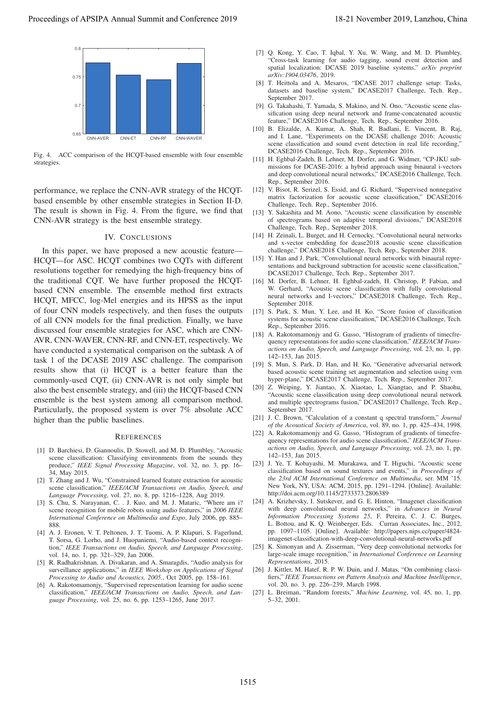

Fig. 4. ACC comparison of the HCQT-based ensemble with four ensemble strategies

performance, we replace the CNN-AVR strategy of the HCQTbased ensemble by other ensemble strategies in Section II-D. The result is shown in Fig. 4. From the figure, we find that CNN-AVR strategy is the best ensemble strategy.

#### IV. CONCLUSIONS

In this paper, we have proposed a new acoustic feature— HCQT—for ASC. HCQT combines two CQTs with different resolutions together for remedying the high-frequency bins of the traditional CQT. We have further proposed the HCQTbased CNN ensemble. The ensemble method first extracts HCQT, MFCC, log-Mel energies and its HPSS as the input of four CNN models respectively, and then fuses the outputs of all CNN models for the final prediction. Finally, we have discussed four ensemble strategies for ASC, which are CNN-AVR, CNN-WAVER, CNN-RF, and CNN-ET, respectively. We have conducted a systematical comparison on the subtask A of task 1 of the DCASE 2019 ASC challenge. The comparison results show that (i) HCQT is a better feature than the commonly-used CQT, (ii) CNN-AVR is not only simple but also the best ensemble strategy, and (iii) the HCQT-based CNN ensemble is the best system among all comparison method. Particularly, the proposed system is over 7% absolute ACC higher than the public baselines. **Proceedings of APSIPA Annual Summit and Conference 2019**<br>
Proceedings of APSIPA Annual Summit and Conference 2019<br>
Proceedings of APSIPA Annual Summit and Conference 2019<br>
The AX concerns of APSIPA Annual Summit and Conf

### **REFERENCES**

- [1] D. Barchiesi, D. Giannoulis, D. Stowell, and M. D. Plumbley, "Acoustic scene classification: Classifying environments from the sounds they produce," *IEEE Signal Processing Magazine*, vol. 32, no. 3, pp. 16– 34, May 2015.
- [2] T. Zhang and J. Wu, "Constrained learned feature extraction for acoustic scene classification," *IEEE/ACM Transactions on Audio, Speech, and Language Processing*, vol. 27, no. 8, pp. 1216–1228, Aug 2019.
- [3] S. Chu, S. Narayanan, C. . J. Kuo, and M. J. Mataric, "Where am i? scene recognition for mobile robots using audio features," in *2006 IEEE International Conference on Multimedia and Expo*, July 2006, pp. 885– 888.
- [4] A. J. Eronen, V. T. Peltonen, J. T. Tuomi, A. P. Klapuri, S. Fagerlund, T. Sorsa, G. Lorho, and J. Huopaniemi, "Audio-based context recognition," *IEEE Transactions on Audio, Speech, and Language Processing*, vol. 14, no. 1, pp. 321–329, Jan 2006.
- [5] R. Radhakrishnan, A. Divakaran, and A. Smaragdis, "Audio analysis for surveillance applications," in *IEEE Workshop on Applications of Signal Processing to Audio and Acoustics, 2005.*, Oct 2005, pp. 158–161.
- [6] A. Rakotomamonjy, "Supervised representation learning for audio scene classification," *IEEE/ACM Transactions on Audio, Speech, and Language Processing*, vol. 25, no. 6, pp. 1253–1265, June 2017.
- [7] Q. Kong, Y. Cao, T. Iqbal, Y. Xu, W. Wang, and M. D. Plumbley, "Cross-task learning for audio tagging, sound event detection and spatial localization: DCASE 2019 baseline systems," *arXiv preprint arXiv:1904.03476*, 2019.
- [8] T. Heittola and A. Mesaros, "DCASE 2017 challenge setup: Tasks, datasets and baseline system," DCASE2017 Challenge, Tech. Rep., September 2017.
- [9] G. Takahashi, T. Yamada, S. Makino, and N. Ono, "Acoustic scene classification using deep neural network and frame-concatenated acoustic feature," DCASE2016 Challenge, Tech. Rep., September 2016.
- [10] B. Elizalde, A. Kumar, A. Shah, R. Badlani, E. Vincent, B. Raj, and I. Lane, "Experiments on the DCASE challenge 2016: Acoustic scene classification and sound event detection in real life recording," DCASE2016 Challenge, Tech. Rep., September 2016.
- [11] H. Eghbal-Zadeh, B. Lehner, M. Dorfer, and G. Widmer, "CP-JKU submissions for DCASE-2016: a hybrid approach using binaural i-vectors and deep convolutional neural networks," DCASE2016 Challenge, Tech. Rep., September 2016.
- [12] V. Bisot, R. Serizel, S. Essid, and G. Richard, "Supervised nonnegative matrix factorization for acoustic scene classification," DCASE2016 Challenge, Tech. Rep., September 2016.
- [13] Y. Sakashita and M. Aono, "Acoustic scene classification by ensemble of spectrograms based on adaptive temporal divisions," DCASE2018 Challenge, Tech. Rep., September 2018.
- [14] H. Zeinali, L. Burget, and H. Cernocky, "Convolutional neural networks and x-vector embedding for dcase2018 acoustic scene classification challenge," DCASE2018 Challenge, Tech. Rep., September 2018.
- [15] Y. Han and J. Park, "Convolutional neural networks with binaural representations and background subtraction for acoustic scene classification," DCASE2017 Challenge, Tech. Rep., September 2017.
- [16] M. Dorfer, B. Lehner, H. Eghbal-zadeh, H. Christop, P. Fabian, and W. Gerhard, "Acoustic scene classification with fully convolutional neural networks and I-vectors," DCASE2018 Challenge, Tech. Rep., September 2018.
- [17] S. Park, S. Mun, Y. Lee, and H. Ko, "Score fusion of classification systems for acoustic scene classification," DCASE2016 Challenge, Tech. Rep., September 2016.
- [18] A. Rakotomamonjy and G. Gasso, "Histogram of gradients of timecfrequency representations for audio scene classification," *IEEE/ACM Transactions on Audio, Speech, and Language Processing*, vol. 23, no. 1, pp. 142–153, Jan 2015.
- [19] S. Mun, S. Park, D. Han, and H. Ko, "Generative adversarial network based acoustic scene training set augmentation and selection using svm hyper-plane," DCASE2017 Challenge, Tech. Rep., September 2017.
- [20] Z. Weiping, Y. Jiantao, X. Xiaotao, L. Xiangtao, and P. Shaohu, "Acoustic scene classification using deep convolutional neural network and multiple spectrograms fusion," DCASE2017 Challenge, Tech. Rep., September 2017.
- [21] J. C. Brown, "Calculation of a constant q spectral transform," *Journal of the Acoustical Society of America*, vol. 89, no. 1, pp. 425–434, 1998.
- [22] A. Rakotomamonjy and G. Gasso, "Histogram of gradients of timecfrequency representations for audio scene classification," *IEEE/ACM Transactions on Audio, Speech, and Language Processing*, vol. 23, no. 1, pp. 142–153, Jan 2015.
- [23] J. Ye, T. Kobayashi, M. Murakawa, and T. Higuchi, "Acoustic scene classification based on sound textures and events," in *Proceedings of the 23rd ACM International Conference on Multimedia*, ser. MM '15. New York, NY, USA: ACM, 2015, pp. 1291–1294. [Online]. Available: http://doi.acm.org/10.1145/2733373.2806389
- [24] A. Krizhevsky, I. Sutskever, and G. E. Hinton, "Imagenet classification with deep convolutional neural networks," in *Advances in Neural Information Processing Systems 25*, F. Pereira, C. J. C. Burges, L. Bottou, and K. Q. Weinberger, Eds. Curran Associates, Inc., 2012, pp. 1097–1105. [Online]. Available: http://papers.nips.cc/paper/4824 imagenet-classification-with-deep-convolutional-neural-networks.pdf
- [25] K. Simonyan and A. Zisserman, "Very deep convolutional networks for large-scale image recognition," in *International Conference on Learning Representations*, 2015.
- [26] J. Kittler, M. Hatef, R. P. W. Duin, and J. Matas, "On combining classifiers," *IEEE Transactions on Pattern Analysis and Machine Intelligence*, vol. 20, no. 3, pp. 226–239, March 1998.
- [27] L. Breiman, "Random forests," *Machine Learning*, vol. 45, no. 1, pp. 5–32, 2001.